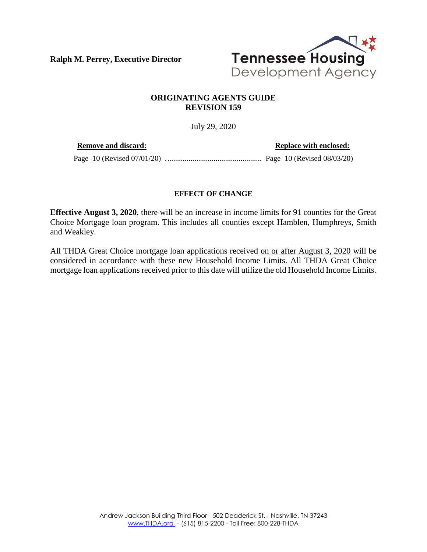**Ralph M. Perrey, Executive Director**



## **ORIGINATING AGENTS GUIDE REVISION 159**

July 29, 2020

**Remove and discard: Replace with enclosed: Replace with enclosed:** 

Page 10 (Revised 07/01/20) .................................................. Page 10 (Revised 08/03/20)

## **EFFECT OF CHANGE**

**Effective August 3, 2020**, there will be an increase in income limits for 91 counties for the Great Choice Mortgage loan program. This includes all counties except Hamblen, Humphreys, Smith and Weakley.

All THDA Great Choice mortgage loan applications received on or after August 3, 2020 will be considered in accordance with these new Household Income Limits. All THDA Great Choice mortgage loan applications received prior to this date will utilize the old Household Income Limits.